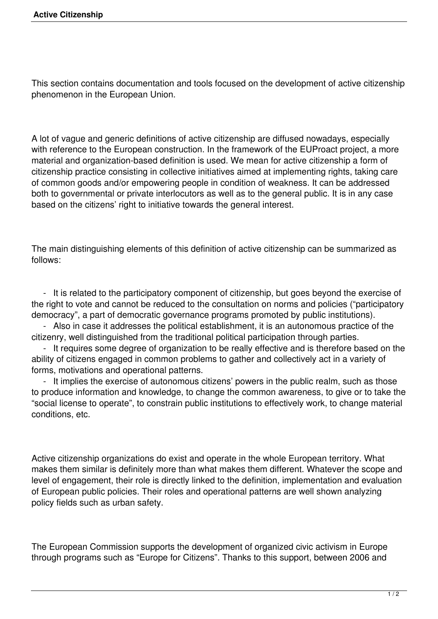This section contains documentation and tools focused on the development of active citizenship phenomenon in the European Union.

A lot of vague and generic definitions of active citizenship are diffused nowadays, especially with reference to the European construction. In the framework of the EUProact project, a more material and organization-based definition is used. We mean for active citizenship a form of citizenship practice consisting in collective initiatives aimed at implementing rights, taking care of common goods and/or empowering people in condition of weakness. It can be addressed both to governmental or private interlocutors as well as to the general public. It is in any case based on the citizens' right to initiative towards the general interest.

The main distinguishing elements of this definition of active citizenship can be summarized as follows:

 - It is related to the participatory component of citizenship, but goes beyond the exercise of the right to vote and cannot be reduced to the consultation on norms and policies ("participatory democracy", a part of democratic governance programs promoted by public institutions).

 - Also in case it addresses the political establishment, it is an autonomous practice of the citizenry, well distinguished from the traditional political participation through parties.

 - It requires some degree of organization to be really effective and is therefore based on the ability of citizens engaged in common problems to gather and collectively act in a variety of forms, motivations and operational patterns.

 - It implies the exercise of autonomous citizens' powers in the public realm, such as those to produce information and knowledge, to change the common awareness, to give or to take the "social license to operate", to constrain public institutions to effectively work, to change material conditions, etc.

Active citizenship organizations do exist and operate in the whole European territory. What makes them similar is definitely more than what makes them different. Whatever the scope and level of engagement, their role is directly linked to the definition, implementation and evaluation of European public policies. Their roles and operational patterns are well shown analyzing policy fields such as urban safety.

The European Commission supports the development of organized civic activism in Europe through programs such as "Europe for Citizens". Thanks to this support, between 2006 and